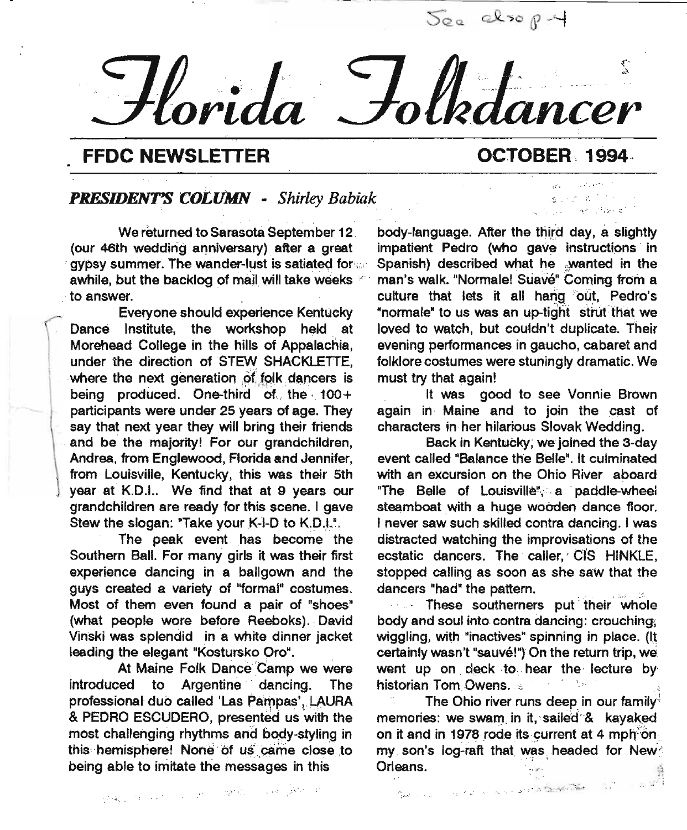$-$  *Horida* Folkd *· ~.. . ; .. ..... -in-' ~. .,. '. . . '. . '.~".:,,:'--~ . ...:. ".. ,. ~\* . ".'\_. - . . . *ort* ·0 '.. *ncer*

#### **FFDC NEWSLETTER OCTOBER** 1994

.'S- *i".*

" and " "" (") and "

#### *PRESIDENT'S CO£lfMN - Shirley Babiak*

We returned to Sarasota September 12 (our 46th wedding anniversary) after a great gypsy summer. The wander-lust is satiated for awhile, but the backlog of mail will take weeks to answer.

Everyone should experience Kentucky Dance Institute, the workshop held at Morehead College in the hills of Appalachia, under the direction of STEW SHACKLETTE, where the next generation of folk dancers is being produced. One-third of the 100+ participants were under 25 years of age. They say that next year they will bring their friends and be the majority! For our grandchildren, Andrea, from Englewood, Florida and Jennifer, from Louisville, Kentucky, this was their 5th year at K.D.J.. We find that at 9 years our grandchildren are ready for this scene. I gave Stew the slogan: "Take your K-I-D to K.D.I.".

The peak event has become' the Southern Ball. For many girls it was their first experience dancing in a ballgown and the guys created a variety of "formal" costumes. Most of them even found a pair of "shoes" (what people wore before Reeboks).. David Vinski was splendid in a white dinner jacket leading the elegant "Kostursko Oro",

At Maine Folk Dance 'Camp we were introduced to Argentine' dancing. The professional duo called 'Las Pampas', LAURA & PEDRO ESCUDERO, presented us with the most challenging rhythms and body-styling in this hemisphere! None of us came close to being able to imitate the messages in this

body-language. After the third day, a slightly impatient Pedro (who gave instructions in Spanish) described what he wanted in the man's walk. "Normale! Suave" Coming from a culture that lets it all hang out, Pedro's "normale" to us was an up-tight strut that we loved to watch, but couldn't duplicate. Their evening performances in gaucho, cabaret and folklore costumes were stuningly dramatic. We must try that again!

It was good to see Vonnie Brown again in Maine and to join the cast of characters in·her hilarious Slovak Wedding.

Back in Kentucky; we joined the 3-day event called "Balance the Belle". It culminated with an excursion on the Ohio River aboard "The Belle of Louisville", a paddle-wheel steamboat with a huge wooden dance floor. I never saw such skilled contra dancing. I was distracted watching the improvisations of the ecstatic dancers. The caller,' C1S HINKLE, stopped calling as soon as she saw that the dancers "had" the pattern.

... These southerners put their whole body and soul into.contra dancing: crouchinq, wiggling, with "inactives" spinning in place. (It certainly wasn't "sauvé!") On the return trip, we went up on deck to hear the lecture by historian Tom Owens. 8 ., January 1994

The Ohio river runs deep in our family<sup>1</sup> memories: we swam in it, sailed & kayaked on it and in 1978 rode its current at 4 mph $\overline{10}$ my son's log-raft that was headed for New: Orleans.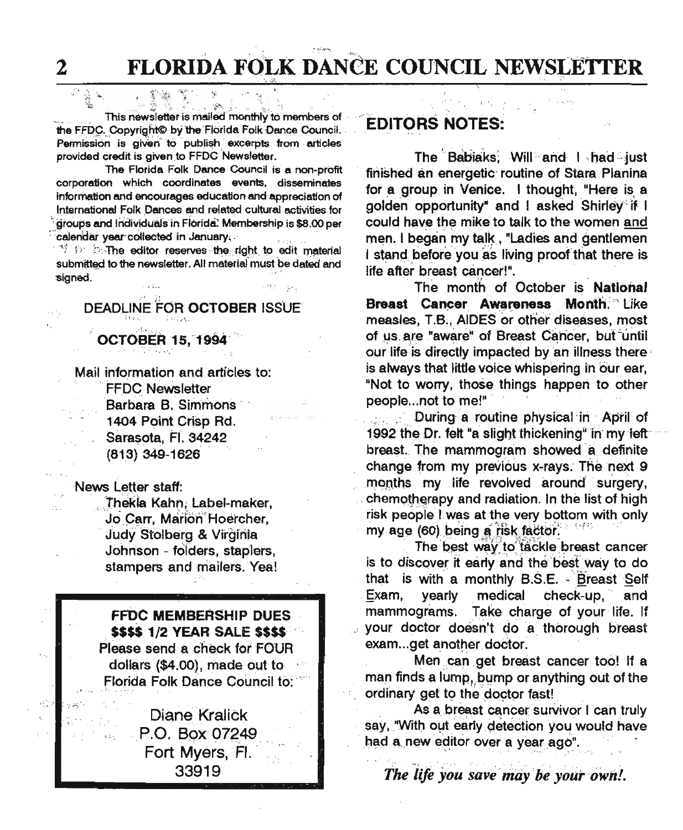2 FLORIDA FOLK DANCE COUNCIL NEWSLETTER

 $"''$  .  $"''$ 

 $\frac{1}{2}$ ,  $\frac{1}{2}$ ,  $\frac{1}{2}$ ,  $\frac{1}{2}$ ,  $\frac{1}{2}$ This newsletter is mailed monthly to members of the FFDC. Copyright© by the Florida Folk Dance Council. Permission is given to publish excerpts from articles provided credit is given to FFDC Newsletter.

The Florida Folk Dance Council is a non-profit corporation which coordinates events. disseminates information and encourages education and appreciation of International Folk Dances and related cultural activities for groups and individuals in Florida. Membership is \$8.00 per calendar year collected in January;

 $^{\prime\prime}$   $\gg$   $^{\prime\prime}$ . The editor reserves the right to edit material submitted to the newsletter. All material must be dated and signed.

# DEADLINE FOR OCTOBER ISSUE

**OCTOBER 15, 1994** 

Mail information and articles to: **FFDC Newsletter** Barbara B. Simmons 1404 Point Crisp Rd. Sarasota, Fl. 34242 (813) 349-1626

News Letter staff:

*:.".H,.'.*

Thekia Kahn, Label-maker, Jo Carr. Marion Hoercher, Judy Stolberg & Virginia Johnson - folders, staplers, stampers and mailers. Yea!

FFDC MEMBERSHIP DUES , \$\$\$\$ 1/2 YEAR SALE \$\$\$\$:" Please send a check for FOUR dollars (\$4.00), made out to Florida Folk Dance Council to:

> Diane Kralick P.O. Box 07249 Fort Myers, Fl. 33919

#### **EDITORS NOTES:**

The Babiaks; Will and I had just finished an energetic routine of Stara Planina for a group in Venice. I thought, "Here is a golden opportunity" and I asked Shirley if I could have the mike to talk to the women and men. I began my talk . "Ladies and gentlemen I stand before you as living proof that there is life after breast cancer!".

The month of October is National Breast Cancer Awareness Month." Like measles, T.B., AIDES or other diseases, most of us are "aware" of Breast Cancer, but until our life is directly impacted by an illness there is always that little voice Whispering in bur ear, "Not to worry, those things happen to other people ...not to me!"

During a routine physical in April of 1992 the Dr. felt "a slight thickening" in my leftbreast. The mammogram showed a definite change from my previous x-rays. The next 9 months my life revolved around surgery, chemotherapy and radiation. In the list of high risk people I was at the very bottom with only my age (60) being a risk factor.

The best way to tackle breast cancer is to discover it early and the best way to do that is with a monthly B.S.E. - Breast Self Exam, yearly medical check-up, and mammograms. Take charge of your life. If your doctor doesn't do a thorough breast exam...get another doctor.

Men can get breast cancer too! If a man finds a lump, bump or anything out of the ordinary get to the doctor fast!

As a breast cancer survivor I can truly say, "With out early detection you would have had a new editor over a year ago".

*The life you save may be your own!.* 

... "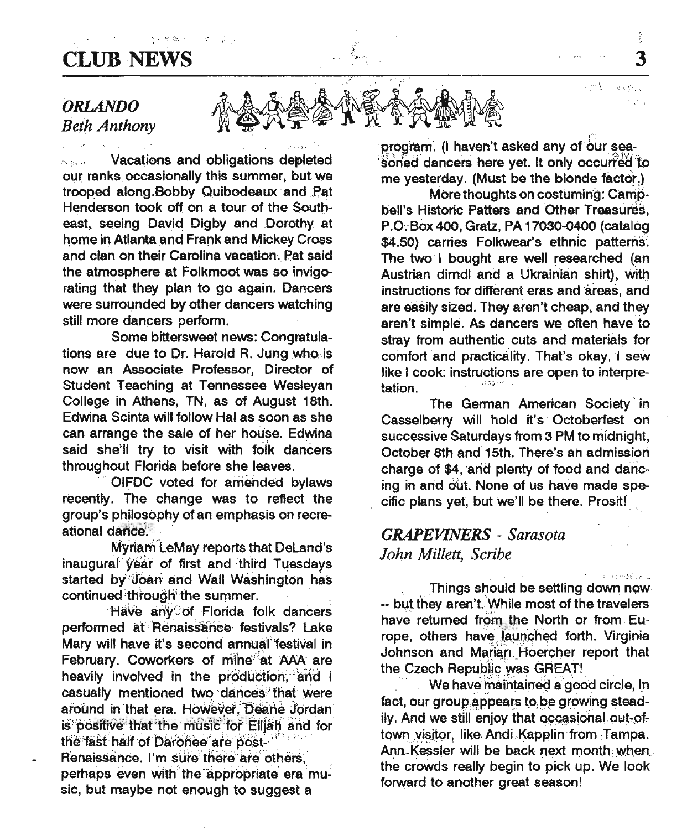# CLUB NEWS 3

#### *ORLANDO Beth Anthony*

**Example 20 Vacations and obligations depleted** our ranks occasionally this summer, but we trooped along.Bobby Quibodeaux' and .Pat Henderson took off on a tour of the Southeast, seeing David Digby and Dorothy at home in Atlanta and Frank and Mickey Cross and clan on their Carolina vacation. Pat said the atmosphere at Folkmoot was so invigorating that they plan to go again. Dancers were surrounded by other dancers watching still more dancers perform.

*=.':* '1.;:,. •... '.'-

Some bittersweet news: Congratulations are due to Dr. Harold R. Jung who is now an Associate Professor, Director \_of Student Teaching at Tennessee Wesleyan College in Athens, TN, as of August 18th. Edwina Scinta will follow Hal as soon as she can arrange the sale of her house. Edwina said she'll try to visit with folk dancers throughout Florida before she leaves.

OIFDC voted for amended bylaws recently. The change was to reflect the group's philosophy of an emphasis on recreational dance

Myriam LeMay reports that DeLand's inaugural year of first and third Tuesdays started by'UOan' and Wall Washington has continued through the summer.

'Have any of Florida folk dancers performed at Renaissance festivals? Lake Mary will have it's second annual festival in February. Coworkers of mine at AAA are heavily involved in the production, and I casually mentioned two dances that were around in that era. However, Deane Jordan is positive that the music for Elliah and for the fast half of Daronee are post-Renaissance. I'm sure there are others, perhaps even with the appropriate era music, but maybe not enough to suggest a

program. (I haven't asked any of our seasoned dancers here yet. It only occurred to me yesterday. (Must be the blonde factor)

*J~/~A~jh~k4~A1\!.l\* "'c;';",

 $\sqrt[4]{2}$   $\sqrt[4]{2}$   $\sqrt[4]{2}$   $\sqrt[4]{2}$   $\sqrt[4]{2}$ 

More thoughts on costuming: Campbell's Historic Patters and Other Treasures, P.O. Box 400, Gratz, PA 17030-0400 (catalog \$4.50) Carries Folkwear's ethnic patterns. The two I bought are well researched (an Austrian dirndl and a Ukrainian shirt), with instructions for different eras and areas, and are easily sized. They aren't cheap, and they aren't simple. As dancers we often have to stray from authentic cuts and materials for comfort and practicality. That's okay, I sew like  $I$  cook: instructions are open to interpre-<br>tation.

The German American Society' in Casselberry will hold it's Octoberfest on successive Saturdays from 3 PM to midnight, October 8th and 15th. There's an admission charge of \$4, and plenty of food and dancing in and out. None of us have made specific plans yet, but we'll be there. Prosit!

#### *GRAPEVINERS - Sarasota John Millett, Scribe*

Things should be settling down now -- but they aren't. While most of the travelers have returned from the North or from Europe, others have launched forth. Virginia Johnson and Marian Hoercher report that the Czech Republic was GREAT!

*,..j •...r.- .*

法保险人

We have maintained a good circle, In fact, our group appears to be growing steadily. And we still enjoy that occasional out-oftown visitor, like Andi Kapplin from Tampa. Ann, Kessier will be back next month when, the crowds really begin to pick up. We look forward to another great season!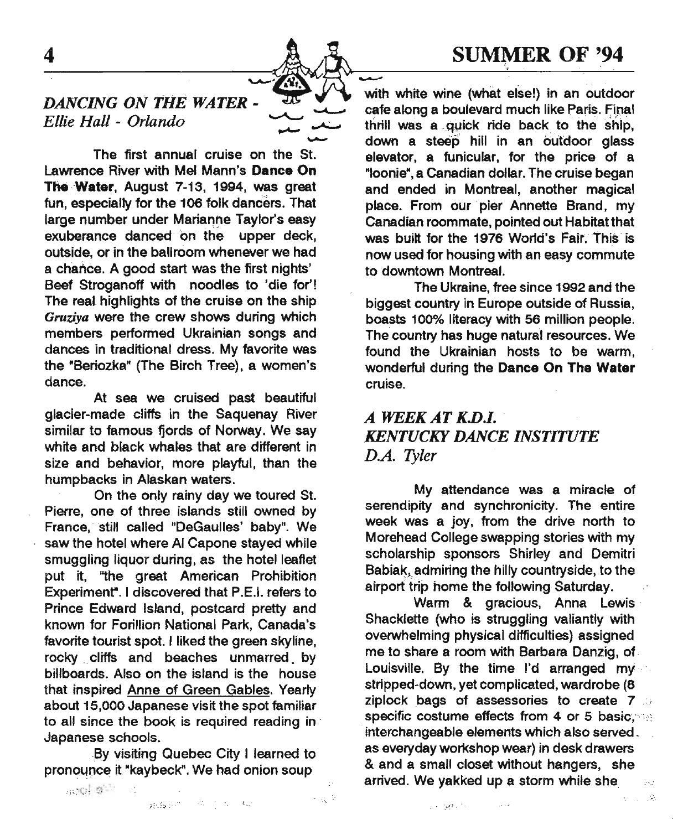### SUMMER OF '94

#### DANCING ON THE WATER -Ellie Hall - Orlando

The first annual cruise on the St. Lawrence River with Mel Mann's Dance On The-Water, August 7-13, 1994, was great fun. especially for the 106 folk dancers. That large number under Marianne Taylor's easy exuberance danced' on the upper deck, outside, or in the ballroom whenever we had a chance. A good start was the first nights' Beef Stroganoff with noodles to 'die for'! The real highlights of the cruise on the ship *Gruziya* were the crew shows during which members performed Ukrainian songs and dances in traditional dress. My favorite was the "Beriozka" (The Birch Tree), a women's dance.

At sea we cruised past beautiful glacier-made cliffs in the Saquenay River similar to famous fiords of Norway. We say white and black whales that are different in size and behavior, more playful, than the humpbacks in Alaskan waters.

On the only rainy day we toured St. Pierre, one of three islands still owned by France; still called "OeGaulies' baby". We saw the hotel where AI Capone stayed while smuggling liquor during, as the hotel leaflet put it, "the great American Prohibition Experiment". I discovered that P.E.I. refers to Prince Edward Island, postcard pretty and known for Forillion National Park, Canada's favorite tourist spot. I liked the green Skyline, rocky cliffs and beaches unmarred by billboards. Also on the island is the house that inspired Anne of Green Gables. Yearly about 15,000 Japanese visit the spot familiar to all since the book is required reading in Japanese schools.

By visiting Quebec City I learned to pronounce it "kaybeck". We had onion soup

**SUMMER OF '94** cafe along a boulevard much like Paris. Final thrill was a quick ride back to the ship, down a steep hill in an outdoor glass elevator, a funicular, for the price of a "Ioonie",a Canadian dollar. The cruise began and ended in Montreal, another magical place. From our pier Annette Brand, my Canadian roommate, pointed out Habitat that was built for the 1976 World's Fair. This' is now used for housing with an easy commute to downtown Montreal.

The Ukraine, free since 1992 and the biggest country in Europe outside of Russia, boasts 100% literacy with 56 million people. The country has huge natural resources. We found the Ukrainian hosts to be warm, wonderful during the Dance On The Water cruise.

#### *A WEEK AT K.D.I. KENTUCKY DANCE INSTITUTE D.A. Tyler*

My attendance was a miracle of serendipity and synchronicity. The entire week was a joy, from the drive north to Morehead College swapping stories with my scholarship sponsors Shirley and Oemitri Babiak, admiring the hilly countryside, to the airport trip home the following Saturday.

Warm & gracious, Anna Lewis' Shacklette (who is struggling valiantly with overwhelming physical difficulties) assigned me to share a room with Barbara Danzig, of Louisville. By the time I'd arranged my stripped-down, yet complicated, wardrobe (8 ziplock bags of assessories to create 7, 5 specific costume effects from 4 or 5 basic; interchangeable elements which also served, as everyday workshop wear) in desk drawers & and a small closet without hangers. she arrived. We yakked up a storm while she

 $\langle \mathcal{D}_i \rangle$ 

 $\boldsymbol{4}$ 

 $\sim$  and  $\omega$  . The set of  $\omega$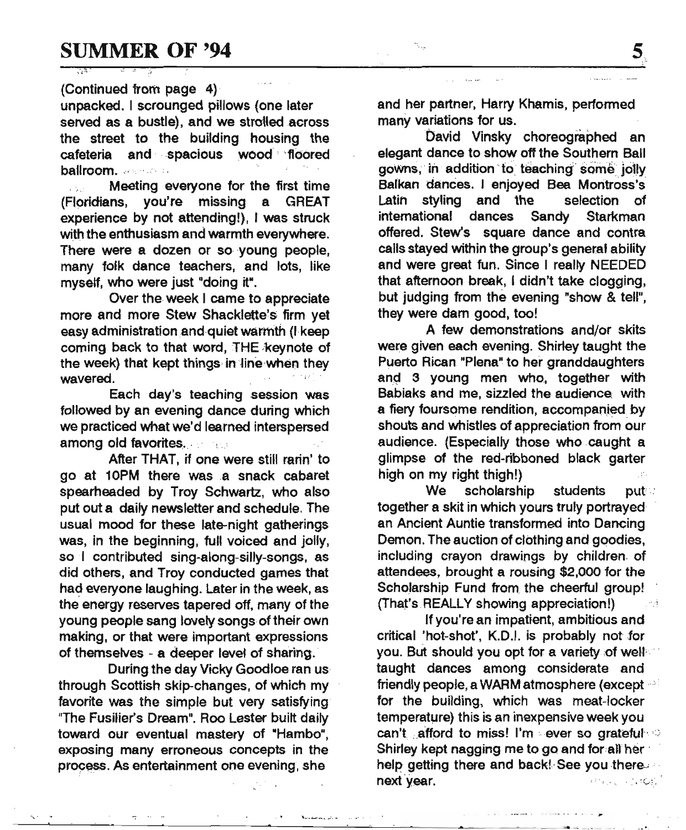#### (Continued from page 4)

unpacked. I scrounged pillows (one later served as a bustle), and we strolled across the street to the building housing the cafeteria and spacious wood' 'floored ballroom ... ,....

**. . . . . Meeting everyone for the first time** (Fl9ridians, you're missing a GREAT experience by not attending!), I was struck with the enthusiasm and warmth everywhere. There were a dozen or so voung people, many folk dance teachers, and lots, like myself, who were just "doing it".

Over the week I came to appreciate more and more Stew Shacklette's firm yet easy administration and quiet warmth (I keep coming back to that word, THE keynote of the week) that kept things in line when they wavered.

Each day's teaching session was followed by an evening dance during which we practiced what we'd learned interspersed among old favorites.

After THAT, if one were still rarin' to go at 10PM there was a snack cabaret spearheaded by Troy Schwartz, who also put out a daily newsletter and schedule. The usual mood for these late-night gatherings was, in the beginning, full voiced and jolly, so I contributed sing-along-silly-songs, as did others, and Troy conducted games that had everyone laughing. Later in the week, as the energy reserves tapered off, many of the young people sang lovely songs of their own making, or that were important expressions of themselves - a deeper level of sharing.

During the day Vicky Goodloe ran us through Scottish skip-changes, of which my favorite was the simple but very satisfying "The Fusilier's Dream". Roo Lester built daily toward our eventual mastery of "Hambo", exposing many erroneous concepts in the process. As entertainment one evening, she

--~~~---~-----~-----'-~--'----~-- \_\_ ~ •• ,.,0 ••.•

and her partner, Harry Khamis, performed many variations for us.

David Vinsky choreographed an elegant dance to show off the Southern Ball gowns, in addition to teaching some jolly Balkan dances. I enjoyed Bea Montross's Latin styling and the selection of intemational dances Sandy Starkman offered. Stew's square dance and contra calls stayed within the group's general ability and were great fun. Since I really NEEDED that afternoon break, I didn't take clogging, but judging from the evening "show & tell", they were dam good, too!

A few demonstrations and/or skits were given each evening. Shirley taught the Puerto Rican "Plena" to her granddaughters and 3 young men who, together with Babiaks and me, sizzled the audience. with a fiery foursome rendition, accompanied by shouts and whistles of appreciation from our audience. (Especially those who caught a glimpse of the red-ribboned black garter high on my right thigh!)

We scholarship students put together a skit in which yours truly portrayed an Ancient Auntie transformed into Dancing Demon. The auction of clothing and goodies, including crayon drawings by children of attendees, brought a rousing \$2,000 for the Scholarship Fund from, the cheerful group! (That's REALLY showing appreciation!)

If you're an impatient, ambitious and critical 'hot-shot', K.D.1.is probably not for you. But should you opt for a variety of well taught dances among considerate and friendly people, a WARM atmosphere (except  $\sim$ for the building, which was meat-locker temperature) this is an inexpensive week you can't afford to miss! I'm ever so grateful Shirley kept nagging me to go and for all her help getting there and back! See you there. next year. The contract of the contract of the contract of the contract of the contract of the contract of the contract of the contract of the contract of the contract of the contract of the contract of the contract of the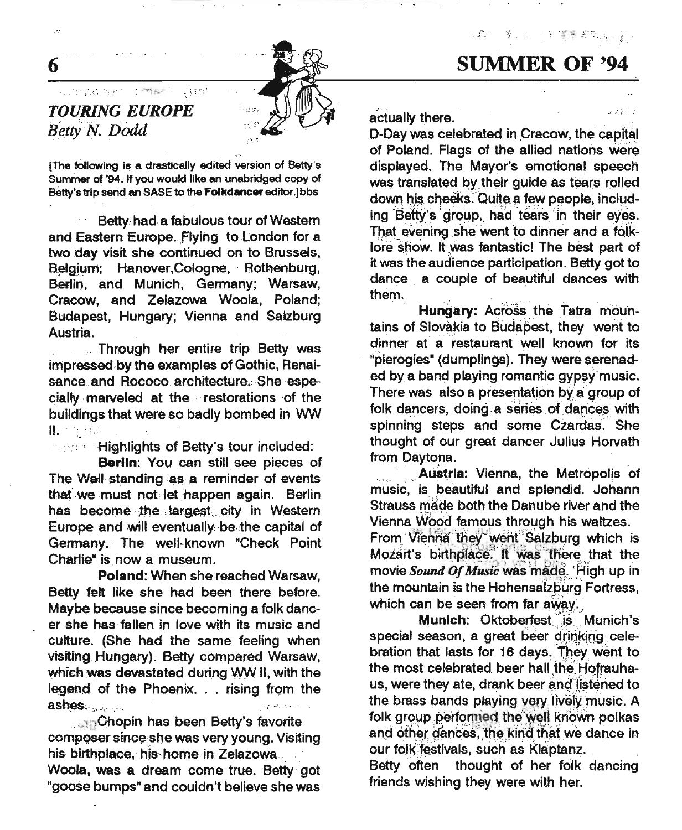(今) 美国小学家著名和爱尔兰

## SUMMER OF '94



#### sum pohen la ment *TOURING EUROPE*  $B$ *etty N. Dodd*

6

.<br>St

[The following is a drastically edited version of Betty's Summer of '94. If you would like an unabridged copy of Betty's trip send an SASE to the Folkdancer editor.Jbbs

 $\approx 3.5\,\mathrm{fm}^2$ 

Betty had,a fabulous tour of Western and Eastern Europe. Flying to London for a two day visit she. continued on to Brussels, Belgium; Hanover,Cologne, Rothenburg, Berlin, and Munich, Germany; Warsaw, Cracow, and Zelazowa Woola, Poland; Budapest, Hungary; Vienna and Salzburg Austria.

.. Through her entire trip Betty was impressed by the examples of Gothic, Renaisance\_and\_Rococo\_architecture. She especially marveled at the restorations of the buildings that were so badly bombed in WW II. "

**"". Highlights of Betty's tour included:** 

Berlin: You can still see pieces of The Wall standing as a reminder of events that we must not-let happen again. Berlin has become the largest city in Western Europe and will eventually be the capital of Germany. The well-known "Check Point Charlie<sup>\*</sup> is now a museum.

Poland: When she reached Warsaw, Betty felt like she had been there before. Maybe because since becoming a folk dancer she has fallen in love with its music and culture. (She had the same feeling when visiting Hungary). Betty compared Warsaw, which was devastated during WW II, with the legend of the Phoenix. . . rising from the ash~\$;.,uo,.. *t.«:*

.......Chopin has been Betty's favorite composer since she was very young. Visiting his birthplace, his home in Zelazowa. Woola, was a dream come true. Betty got "goose bumps" and couldn't believe she was

:.•.. , . actually there. The contraction of the contraction of the contraction of the contraction of the contraction of the contraction of the contraction of the contraction of the contraction of the contraction of the contraction

D-Day was celebrated in Cracow, the capital of Poland. Flags of the allied nations were displayed. The Mayor's emotional speech was translated by their guide as tears rolled down his cheeks. Quite a few people, including Betty's group, had tears in their eyes. That evening she went to dinner and a folklore show. It was fantastic! The best part of it was the audience participation. Betty got to dance a couple of beautiful dances with them.

Hungary: Across the Tatra mountains of Slovakia to Budapest, they went to dinner at a restaurant well known for its "pierogies" (dumplings). They were serenaded by a band playing romantic gypsy'music. There was also a presentation by a group of folk dancers, doing a series of dances with spinning steps and some Czardas. She thought of our great dancer Julius Horvath from Daytona.

Austria: Vienna, the Metropolis of music, is.beautiful and splendid. Johann Strauss made both the Danube river and the Vienna Wood famous through his waltzes. From Vienna they went Salzburg which is  $Mozart's$  birthplace. It was there that the movie Sound Of Music was made. High up in the mountain is the Hohensalzburg Fortress, which can be seen from far away.

Munich: Oktoberfest is Munich's special season, a great beer drinking celebration that lasts for 16 days. They went to the most celebrated beer hall the Hofrauhaus, were they ate, drank beer and listened to the brass bands playing very lively music. A folk group performed the well known polkas and other dances, the kind that we dance in our folk festivals, such as Klaptanz.

Betty often thought of her folk dancing friends wishing they were with her.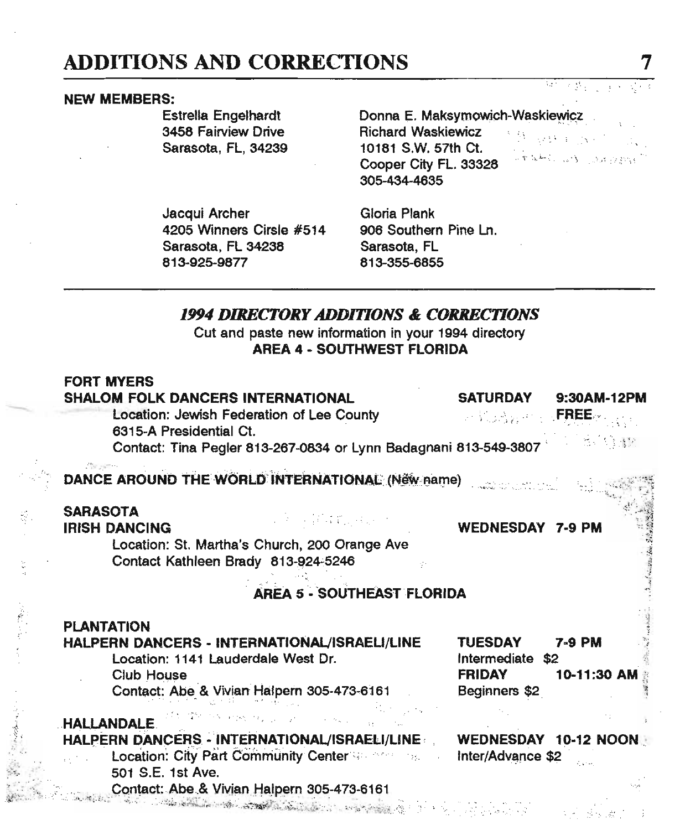# ADDITIONS AND CORRECTIONS

#### NEW MEMBERS:

Estrella Engelhardt 3458 Fairview Drive Sarasota, FL, 34239 Donna E. Maksymowich-Waskiewicz Richard Waskiewicz **Album** 10181 S.W. 57th Ct. Cooper City FL. 33328 305-434-4635

Jacqui Archer 4205 Winners Cirsle #514 Sarasota, FL 34238 813-925-9877

Gloria Plank 906 Southern Pine Ln. Sarasota, FL 813-355-6855

#### *1994 DIRECTORY ADDlTlONS* & *CORRECTIONS*

Cut and paste new information in your 1994 directory AREA 4 ~ SOUTHWEST FLORIDA

| <b>FORT MYERS</b><br><b>SHALOM FOLK DANCERS INTERNATIONAL</b><br><b>SATURDAY</b><br>9:30AM-12PM<br>Location: Jewish Federation of Lee County<br><b>EREE</b><br>6315-A Presidential Ct.<br>소송 생산<br>Contact: Tina Pegler 813-267-0834 or Lynn Badagnani 813-549-3807  |
|----------------------------------------------------------------------------------------------------------------------------------------------------------------------------------------------------------------------------------------------------------------------|
| DANCE AROUND THE WORLD INTERNATIONAL (New name)                                                                                                                                                                                                                      |
| <b>SARASOTA</b><br>u kacamatan Kabupatén<br><b>IRISH DANCING</b><br><b>WEDNESDAY 7-9 PM</b><br>Location: St. Martha's Church, 200 Orange Ave<br>Contact Kathleen Brady 813-924-5246                                                                                  |
| AREA 5 - SOUTHEAST FLORIDA                                                                                                                                                                                                                                           |
| <b>PLANTATION</b><br>HALPERN DANCERS - INTERNATIONAL/ISRAELI/LINE<br>TUESDAY<br><b>7-9 PM</b><br>Location: 1141 Lauderdale West Dr.<br>Intermediate \$2<br>Club House<br>10-11:30 AM<br><b>FRIDAY</b><br>Contact: Abe & Vivian Halpern 305-473-6161<br>Beginners \$2 |
| <b>HALLANDALE</b><br>HALPERN DANCERS - INTERNATIONAL/ISRAELI/LINE<br>WEDNESDAY 10-12 NOON<br>Location: City Part Community Center<br>Inter/Advance \$2<br>501 S.E. 1st Ave.<br>Contact: Abe & Vivian Halpern 305-473-6161                                            |
| de article composition of the composition of the composition of the                                                                                                                                                                                                  |